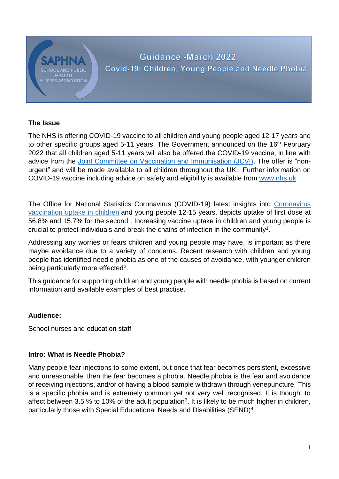# **NURSES ASSOCIATION**

# Guidance - March 2022 Covid-19: Children, Young People and Needle Phobia

# **The Issue**

The NHS is offering COVID-19 vaccine to all children and young people aged 12-17 years and to other specific groups aged 5-11 years. The Government announced on the 16<sup>th</sup> February 2022 that all children aged 5-11 years will also be offered the COVID-19 vaccine, in line with advice from the [Joint Committee on Vaccination and Immunisation \(JCVI\).](https://www.gov.uk/government/publications/jcvi-update-on-advice-for-covid-19-vaccination-of-children-aged-5-to-11/jcvi-statement-on-vaccination-of-children-aged-5-to-11-years-old) The offer is "nonurgent" and will be made available to all children throughout the UK. Further information on COVID-19 vaccine including advice on safety and eligibility is available from [www.nhs.uk](http://www.nhs.uk/)

The Office for [National Statistics Coronavirus \(COVID-19\) latest insights](https://www.ons.gov.uk/peoplepopulationandcommunity/healthandsocialcare/conditionsanddiseases/articles/coronaviruscovid19latestinsights/vaccines) into [Coronavirus](https://www.ons.gov.uk/peoplepopulationandcommunity/healthandsocialcare/healthandwellbeing/datasets/coronavirusvaccinationuptakeinchildrenandyoungpeopleengland)  [vaccination uptake in children](https://www.ons.gov.uk/peoplepopulationandcommunity/healthandsocialcare/healthandwellbeing/datasets/coronavirusvaccinationuptakeinchildrenandyoungpeopleengland) and young people 12-15 years, depicts uptake of first dose at 56.8% and 15.7% for the second . Increasing vaccine uptake in children and young people is crucial to protect individuals and break the chains of infection in the community<sup>1</sup>.

Addressing any worries or fears children and young people may have, is important as there maybe avoidance due to a variety of concerns. Recent research with children and young people has identified needle phobia as one of the causes of avoidance, with younger children being particularly more effected<sup>2</sup>.

This guidance for supporting children and young people with needle phobia is based on current information and available examples of best practise.

# **Audience:**

School nurses and education staff

# **Intro: What is Needle Phobia?**

Many people fear injections to some extent, but once that fear becomes persistent, excessive and unreasonable, then the fear becomes a phobia. Needle phobia is the fear and avoidance of receiving injections, and/or of having a blood sample withdrawn through venepuncture. This is a specific phobia and is extremely common yet not very well recognised. It is thought to affect between 3.5 % to 10% of the adult population<sup>3</sup>. It is likely to be much higher in children, particularly those with Special Educational Needs and Disabilities (SEND)4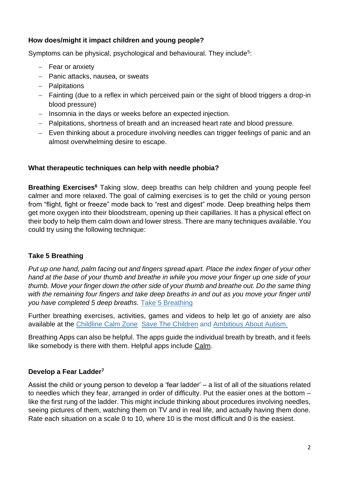#### **How does/might it impact children and young people?**

Symptoms can be physical, psychological and behavioural. They include<sup>5</sup>:

- − Fear or anxiety
- − Panic attacks, nausea, or sweats
- − Palpitations
- − Fainting (due to a reflex in which perceived pain or the sight of blood triggers a drop-in blood pressure)
- − Insomnia in the days or weeks before an expected injection.
- − Palpitations, shortness of breath and an increased heart rate and blood pressure.
- − Even thinking about a procedure involving needles can trigger feelings of panic and an almost overwhelming desire to escape.

#### **What therapeutic techniques can help with needle phobia?**

**Breathing Exercises<sup>6</sup>** Taking slow, deep breaths can help children and young people feel calmer and more relaxed. The goal of calming exercises is to get the child or young person from "flight, fight or freeze" mode back to "rest and digest" mode. Deep breathing helps them get more oxygen into their bloodstream, opening up their capillaries. It has a physical effect on their body to help them calm down and lower stress. There are many techniques available. You could try using the following technique:

# **Take 5 Breathing**

*Put up one hand, palm facing out and fingers spread apart. Place the index finger of your other hand at the base of your thumb and breathe in while you move your finger up one side of your thumb. Move your finger down the other side of your thumb and breathe out. Do the same thing with the remaining four fingers and take deep breaths in and out as you move your finger until you have completed 5 deep breaths.* [Take 5 Breathing](https://youtu.be/3bKuoH8CkFc)

Further breathing exercises, activities, games and videos to help let go of anxiety are also available at the [Childline Calm Zone](https://www.childline.org.uk/toolbox/calm-zone/) [Save The Children](https://www.savethechildren.org.uk/what-we-do/coronavirus-information-advice/relaxation-exercises-to-do-at-home-with-your-kids) and [Ambitious About](https://www.ambitiousaboutautism.org.uk/information-about-autism/coronavirus-and-autism/health-and-wellbeing/breathing-strategies) Autism.

Breathing Apps can also be helpful. The apps guide the individual breath by breath, and it feels like somebody is there with them. Helpful apps include [Calm.](https://www.youtube.com/watch?v=uxayUBd6T7M)

# **Develop a Fear Ladder<sup>7</sup>**

Assist the child or young person to develop a 'fear ladder' – a list of all of the situations related to needles which they fear, arranged in order of difficulty. Put the easier ones at the bottom – like the first rung of the ladder. This might include thinking about procedures involving needles, seeing pictures of them, watching them on TV and in real life, and actually having them done. Rate each situation on a scale 0 to 10, where 10 is the most difficult and 0 is the easiest.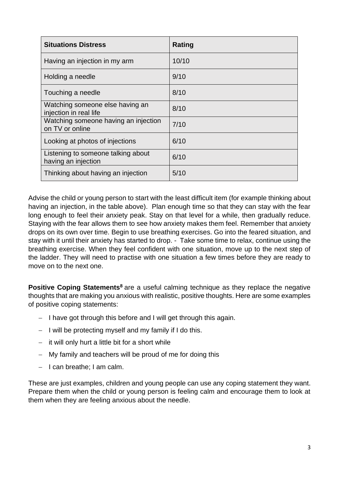| <b>Situations Distress</b>                                | Rating |
|-----------------------------------------------------------|--------|
| Having an injection in my arm                             | 10/10  |
| Holding a needle                                          | 9/10   |
| Touching a needle                                         | 8/10   |
| Watching someone else having an<br>injection in real life | 8/10   |
| Watching someone having an injection<br>on TV or online   | 7/10   |
| Looking at photos of injections                           | 6/10   |
| Listening to someone talking about<br>having an injection | 6/10   |
| Thinking about having an injection                        | 5/10   |

Advise the child or young person to start with the least difficult item (for example thinking about having an injection, in the table above). Plan enough time so that they can stay with the fear long enough to feel their anxiety peak. Stay on that level for a while, then gradually reduce. Staying with the fear allows them to see how anxiety makes them feel. Remember that anxiety drops on its own over time. Begin to use breathing exercises. Go into the feared situation, and stay with it until their anxiety has started to drop. - Take some time to relax, continue using the breathing exercise. When they feel confident with one situation, move up to the next step of the ladder. They will need to practise with one situation a few times before they are ready to move on to the next one.

**Positive Coping Statements<sup>8</sup>** are a useful calming technique as they replace the negative thoughts that are making you anxious with realistic, positive thoughts. Here are some examples of positive coping statements:

- − I have got through this before and I will get through this again.
- − I will be protecting myself and my family if I do this.
- − it will only hurt a little bit for a short while
- − My family and teachers will be proud of me for doing this
- − I can breathe; I am calm.

These are just examples, children and young people can use any coping statement they want. Prepare them when the child or young person is feeling calm and encourage them to look at them when they are feeling anxious about the needle.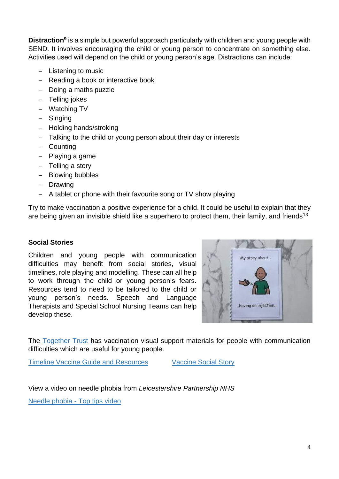**Distraction<sup>9</sup>** is a simple but powerful approach particularly with children and young people with SEND. It involves encouraging the child or young person to concentrate on something else. Activities used will depend on the child or young person's age. Distractions can include:

- − Listening to music
- − Reading a book or interactive book
- − Doing a maths puzzle
- − Telling jokes
- − Watching TV
- − Singing
- − Holding hands/stroking
- − Talking to the child or young person about their day or interests
- − Counting
- − Playing a game
- − Telling a story
- − Blowing bubbles
- − Drawing
- − A tablet or phone with their favourite song or TV show playing

Try to make vaccination a positive experience for a child. It could be useful to explain that they are being given an invisible shield like a superhero to protect them, their family, and friends<sup>13</sup>

#### **Social Stories**

Children and young people with communication difficulties may benefit from social stories, visual timelines, role playing and modelling. These can all help to work through the child or young person's fears. Resources tend to need to be tailored to the child or young person's needs. Speech and Language Therapists and Special School Nursing Teams can help develop these.



The [Together Trust](https://www.togethertrust.org.uk/news/vaccination-visual-support-materials-people-communication-difficulties) has vaccination visual support materials for people with communication difficulties which are useful for young people.

[Timeline Vaccine Guide and Resources](https://www.togethertrust.org.uk/sites/default/files/Timeline%20Vaccine%20Guide%20and%20Resources%20.pdf) [Vaccine Social Story](https://www.togethertrust.org.uk/sites/default/files/Vaccine%20Social%20Story_0.pdf) 

View a video on needle phobia from *Leicestershire Partnership NHS* [Needle phobia -](https://youtu.be/9SN3lBvW3Eg) Top tips video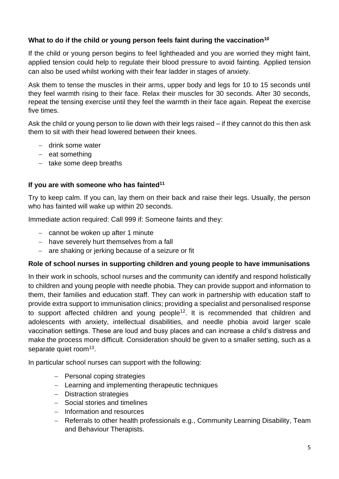#### **What to do if the child or young person feels faint during the vaccination<sup>10</sup>**

If the child or young person begins to feel lightheaded and you are worried they might faint, applied tension could help to regulate their blood pressure to avoid fainting. Applied tension can also be used whilst working with their fear ladder in stages of anxiety.

Ask them to tense the muscles in their arms, upper body and legs for 10 to 15 seconds until they feel warmth rising to their face. Relax their muscles for 30 seconds. After 30 seconds, repeat the tensing exercise until they feel the warmth in their face again. Repeat the exercise five times.

Ask the child or young person to lie down with their legs raised – if they cannot do this then ask them to sit with their head lowered between their knees.

- − drink some water
- − eat something
- − take some deep breaths

#### **If you are with someone who has fainted<sup>11</sup>**

Try to keep calm. If you can, lay them on their back and raise their legs. Usually, the person who has fainted will wake up within 20 seconds.

Immediate action required: Call 999 if: Someone faints and they:

- − cannot be woken up after 1 minute
- − have severely hurt themselves from a fall
- − are shaking or jerking because of a seizure or fit

#### **Role of school nurses in supporting children and young people to have immunisations**

In their work in schools, school nurses and the community can identify and respond holistically to children and young people with needle phobia. They can provide support and information to them, their families and education staff. They can work in partnership with education staff to provide extra support to immunisation clinics; providing a specialist and personalised response to support affected children and young people<sup>12</sup>. It is recommended that children and adolescents with anxiety, intellectual disabilities, and needle phobia avoid larger scale vaccination settings. These are loud and busy places and can increase a child's distress and make the process more difficult. Consideration should be given to a smaller setting, such as a separate quiet room<sup>13</sup>.

In particular school nurses can support with the following:

- − Personal coping strategies
- − Learning and implementing therapeutic techniques
- − Distraction strategies
- − Social stories and timelines
- − Information and resources
- − Referrals to other health professionals e.g., Community Learning Disability, Team and Behaviour Therapists.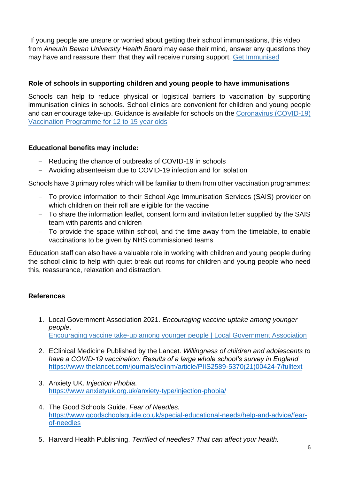If young people are unsure or worried about getting their school immunisations, this video from *Aneurin Bevan University Health Board* may ease their mind, answer any questions they may have and reassure them that they will receive nursing support. [Get Immunised](https://youtu.be/PBu0HmbRU30)

#### **Role of schools in supporting children and young people to have immunisations**

Schools can help to reduce physical or logistical barriers to vaccination by supporting immunisation clinics in schools. School clinics are convenient for children and young people and can encourage take-up. Guidance is available for schools on the [Coronavirus \(COVID-19\)](https://assets.publishing.service.gov.uk/government/uploads/system/uploads/attachment_data/file/1041672/UKHSA-12222-COVID-19-schools-briefing-v3.pdf)  [Vaccination Programme for 12 to 15 year olds](https://assets.publishing.service.gov.uk/government/uploads/system/uploads/attachment_data/file/1041672/UKHSA-12222-COVID-19-schools-briefing-v3.pdf)

#### **Educational benefits may include:**

- − Reducing the chance of outbreaks of COVID-19 in schools
- − Avoiding absenteeism due to COVID-19 infection and for isolation

Schools have 3 primary roles which will be familiar to them from other vaccination programmes:

- − To provide information to their School Age Immunisation Services (SAIS) provider on which children on their roll are eligible for the vaccine
- − To share the information leaflet, consent form and invitation letter supplied by the SAIS team with parents and children
- − To provide the space within school, and the time away from the timetable, to enable vaccinations to be given by NHS commissioned teams

Education staff can also have a valuable role in working with children and young people during the school clinic to help with quiet break out rooms for children and young people who need this, reassurance, relaxation and distraction.

# **References**

- 1. Local Government Association 2021*. Encouraging vaccine uptake among younger people*. [Encouraging vaccine take-up among younger people | Local Government Association](https://www.local.gov.uk/our-support/coronavirus-information-councils/covid-19-service-information/covid-19-vaccinations/behavioural-insights/resources/encouraging-vaccine-take-among-younger-people)
- 2. EClinical Medicine Published by the Lancet. *Willingness of children and adolescents to have a COVID-19 vaccination: Results of a large whole school's survey in England* [https://www.thelancet.com/journals/eclinm/article/PIIS2589-5370\(21\)00424-7/fulltext](https://www.thelancet.com/journals/eclinm/article/PIIS2589-5370(21)00424-7/fulltext)
- 3. Anxiety UK. *Injection Phobia*. <https://www.anxietyuk.org.uk/anxiety-type/injection-phobia/>
- 4. The Good Schools Guide. *Fear of Needles.* [https://www.goodschoolsguide.co.uk/special-educational-needs/help-and-advice/fear](https://www.goodschoolsguide.co.uk/special-educational-needs/help-and-advice/fear-of-needles)[of-needles](https://www.goodschoolsguide.co.uk/special-educational-needs/help-and-advice/fear-of-needles)
- 5. Harvard Health Publishing. *Terrified of needles? That can affect your health.*